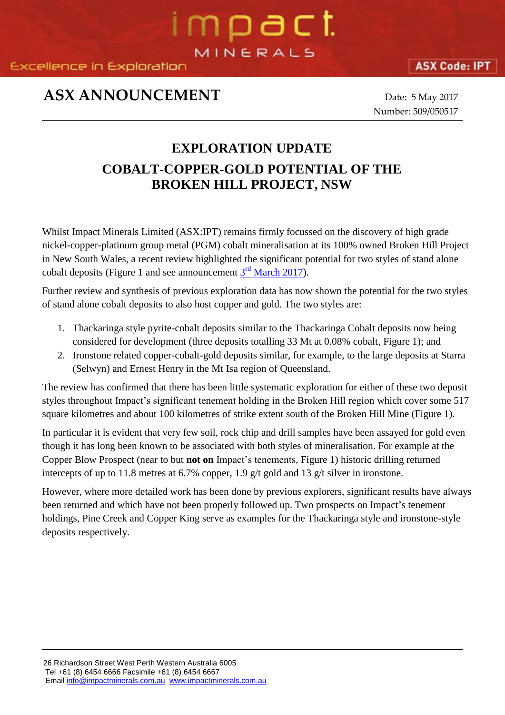**Excellence in Exploration** 

### **ASX ANNOUNCEMENT** Date: 5 May 2017

Number: 509/050517

### **EXPLORATION UPDATE COBALT-COPPER-GOLD POTENTIAL OF THE BROKEN HILL PROJECT, NSW**

mpact

MINERALS

Whilst Impact Minerals Limited (ASX:IPT) remains firmly focussed on the discovery of high grade nickel-copper-platinum group metal (PGM) cobalt mineralisation at its 100% owned Broken Hill Project in New South Wales, a recent review highlighted the significant potential for two styles of stand alone cobalt deposits (Figure 1 and see announcement  $3<sup>rd</sup>$  [March 2017\)](http://impactminerals.com.au/impact/wp-content/uploads/2017/03/505_030317-Cobalt-at-Broken-Hill.pdf).

Further review and synthesis of previous exploration data has now shown the potential for the two styles of stand alone cobalt deposits to also host copper and gold. The two styles are:

- 1. Thackaringa style pyrite-cobalt deposits similar to the Thackaringa Cobalt deposits now being considered for development (three deposits totalling 33 Mt at 0.08% cobalt, Figure 1); and
- 2. Ironstone related copper-cobalt-gold deposits similar, for example, to the large deposits at Starra (Selwyn) and Ernest Henry in the Mt Isa region of Queensland.

The review has confirmed that there has been little systematic exploration for either of these two deposit styles throughout Impact's significant tenement holding in the Broken Hill region which cover some 517 square kilometres and about 100 kilometres of strike extent south of the Broken Hill Mine (Figure 1).

In particular it is evident that very few soil, rock chip and drill samples have been assayed for gold even though it has long been known to be associated with both styles of mineralisation. For example at the Copper Blow Prospect (near to but **not on** Impact's tenements, Figure 1) historic drilling returned intercepts of up to 11.8 metres at 6.7% copper, 1.9 g/t gold and 13 g/t silver in ironstone.

However, where more detailed work has been done by previous explorers, significant results have always been returned and which have not been properly followed up. Two prospects on Impact's tenement holdings, Pine Creek and Copper King serve as examples for the Thackaringa style and ironstone-style deposits respectively.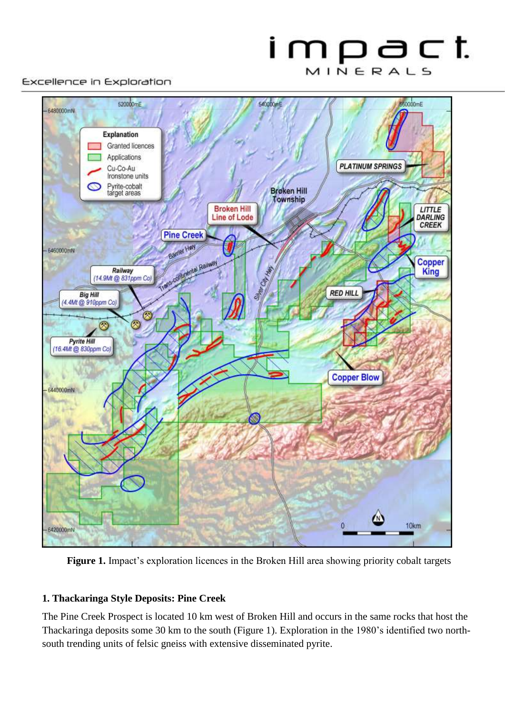### impact MINERALS

#### Excellence in Exploration



**Figure 1.** Impact's exploration licences in the Broken Hill area showing priority cobalt targets

#### **1. Thackaringa Style Deposits: Pine Creek**

The Pine Creek Prospect is located 10 km west of Broken Hill and occurs in the same rocks that host the Thackaringa deposits some 30 km to the south (Figure 1). Exploration in the 1980's identified two northsouth trending units of felsic gneiss with extensive disseminated pyrite.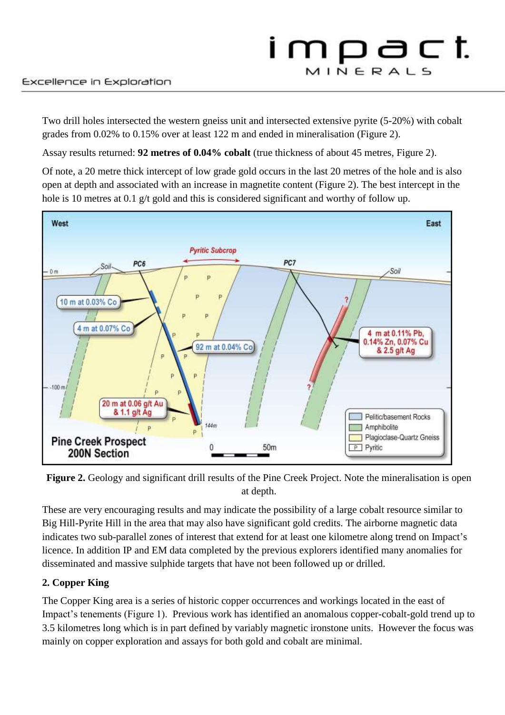Two drill holes intersected the western gneiss unit and intersected extensive pyrite (5-20%) with cobalt grades from 0.02% to 0.15% over at least 122 m and ended in mineralisation (Figure 2).

Assay results returned: **92 metres of 0.04% cobalt** (true thickness of about 45 metres, Figure 2).

Of note, a 20 metre thick intercept of low grade gold occurs in the last 20 metres of the hole and is also open at depth and associated with an increase in magnetite content (Figure 2). The best intercept in the hole is 10 metres at 0.1 g/t gold and this is considered significant and worthy of follow up.



Figure 2. Geology and significant drill results of the Pine Creek Project. Note the mineralisation is open at depth.

These are very encouraging results and may indicate the possibility of a large cobalt resource similar to Big Hill-Pyrite Hill in the area that may also have significant gold credits. The airborne magnetic data indicates two sub-parallel zones of interest that extend for at least one kilometre along trend on Impact's licence. In addition IP and EM data completed by the previous explorers identified many anomalies for disseminated and massive sulphide targets that have not been followed up or drilled.

### **2. Copper King**

The Copper King area is a series of historic copper occurrences and workings located in the east of Impact's tenements (Figure 1). Previous work has identified an anomalous copper-cobalt-gold trend up to 3.5 kilometres long which is in part defined by variably magnetic ironstone units. However the focus was mainly on copper exploration and assays for both gold and cobalt are minimal.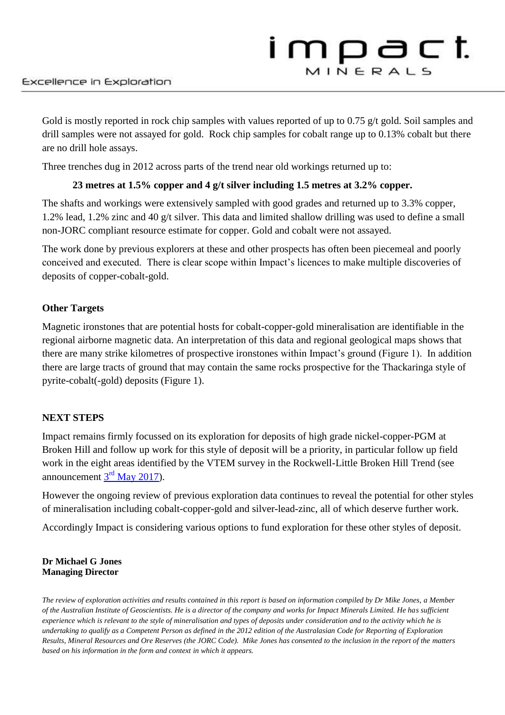Gold is mostly reported in rock chip samples with values reported of up to 0.75 g/t gold. Soil samples and drill samples were not assayed for gold. Rock chip samples for cobalt range up to 0.13% cobalt but there are no drill hole assays.

Three trenches dug in 2012 across parts of the trend near old workings returned up to:

### **23 metres at 1.5% copper and 4 g/t silver including 1.5 metres at 3.2% copper.**

The shafts and workings were extensively sampled with good grades and returned up to 3.3% copper, 1.2% lead, 1.2% zinc and 40 g/t silver. This data and limited shallow drilling was used to define a small non-JORC compliant resource estimate for copper. Gold and cobalt were not assayed.

The work done by previous explorers at these and other prospects has often been piecemeal and poorly conceived and executed. There is clear scope within Impact's licences to make multiple discoveries of deposits of copper-cobalt-gold.

### **Other Targets**

Magnetic ironstones that are potential hosts for cobalt-copper-gold mineralisation are identifiable in the regional airborne magnetic data. An interpretation of this data and regional geological maps shows that there are many strike kilometres of prospective ironstones within Impact's ground (Figure 1). In addition there are large tracts of ground that may contain the same rocks prospective for the Thackaringa style of pyrite-cobalt(-gold) deposits (Figure 1).

### **NEXT STEPS**

Impact remains firmly focussed on its exploration for deposits of high grade nickel-copper-PGM at Broken Hill and follow up work for this style of deposit will be a priority, in particular follow up field work in the eight areas identified by the VTEM survey in the Rockwell-Little Broken Hill Trend (see announcement  $3<sup>rd</sup>$  [May 2017\)](http://impactminerals.com.au/impact/wp-content/uploads/2017/05/508_030517-VTEM-at-Broken-Hill.pdf).

However the ongoing review of previous exploration data continues to reveal the potential for other styles of mineralisation including cobalt-copper-gold and silver-lead-zinc, all of which deserve further work.

Accordingly Impact is considering various options to fund exploration for these other styles of deposit.

#### **Dr Michael G Jones Managing Director**

*The review of exploration activities and results contained in this report is based on information compiled by Dr Mike Jones, a Member of the Australian Institute of Geoscientists. He is a director of the company and works for Impact Minerals Limited. He has sufficient experience which is relevant to the style of mineralisation and types of deposits under consideration and to the activity which he is undertaking to qualify as a Competent Person as defined in the 2012 edition of the Australasian Code for Reporting of Exploration Results, Mineral Resources and Ore Reserves (the JORC Code). Mike Jones has consented to the inclusion in the report of the matters based on his information in the form and context in which it appears.*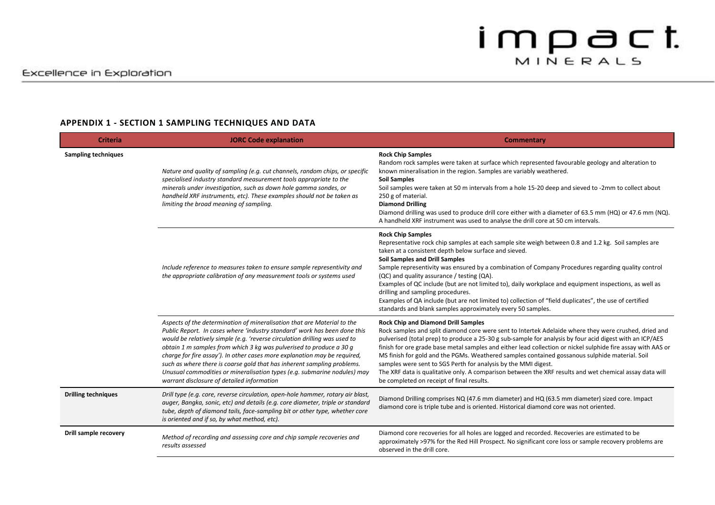#### **APPENDIX 1 - SECTION 1 SAMPLING TECHNIQUES AND DATA**

| <b>Criteria</b>            | <b>JORC Code explanation</b>                                                                                                                                                                                                                                                                                                                                                                                                                                                                                                                                                                | Commentary                                                                                                                                                                                                                                                                                                                                                                                                                                                                                                                                                                                                                                                                                                  |
|----------------------------|---------------------------------------------------------------------------------------------------------------------------------------------------------------------------------------------------------------------------------------------------------------------------------------------------------------------------------------------------------------------------------------------------------------------------------------------------------------------------------------------------------------------------------------------------------------------------------------------|-------------------------------------------------------------------------------------------------------------------------------------------------------------------------------------------------------------------------------------------------------------------------------------------------------------------------------------------------------------------------------------------------------------------------------------------------------------------------------------------------------------------------------------------------------------------------------------------------------------------------------------------------------------------------------------------------------------|
| <b>Sampling techniques</b> | Nature and quality of sampling (e.g. cut channels, random chips, or specific<br>specialised industry standard measurement tools appropriate to the<br>minerals under investigation, such as down hole gamma sondes, or<br>handheld XRF instruments, etc). These examples should not be taken as<br>limiting the broad meaning of sampling.                                                                                                                                                                                                                                                  | <b>Rock Chip Samples</b><br>Random rock samples were taken at surface which represented favourable geology and alteration to<br>known mineralisation in the region. Samples are variably weathered.<br><b>Soil Samples</b><br>Soil samples were taken at 50 m intervals from a hole 15-20 deep and sieved to -2mm to collect about<br>250 g of material.<br><b>Diamond Drilling</b><br>Diamond drilling was used to produce drill core either with a diameter of 63.5 mm (HQ) or 47.6 mm (NQ).<br>A handheld XRF instrument was used to analyse the drill core at 50 cm intervals.                                                                                                                          |
|                            | Include reference to measures taken to ensure sample representivity and<br>the appropriate calibration of any measurement tools or systems used                                                                                                                                                                                                                                                                                                                                                                                                                                             | <b>Rock Chip Samples</b><br>Representative rock chip samples at each sample site weigh between 0.8 and 1.2 kg. Soil samples are<br>taken at a consistent depth below surface and sieved.<br>Soil Samples and Drill Samples<br>Sample representivity was ensured by a combination of Company Procedures regarding quality control<br>(QC) and quality assurance / testing (QA).<br>Examples of QC include (but are not limited to), daily workplace and equipment inspections, as well as<br>drilling and sampling procedures.<br>Examples of QA include (but are not limited to) collection of "field duplicates", the use of certified<br>standards and blank samples approximately every 50 samples.      |
|                            | Aspects of the determination of mineralisation that are Material to the<br>Public Report. In cases where 'industry standard' work has been done this<br>would be relatively simple (e.g. 'reverse circulation drilling was used to<br>obtain 1 m samples from which 3 kg was pulverised to produce a 30 g<br>charge for fire assay'). In other cases more explanation may be required,<br>such as where there is coarse gold that has inherent sampling problems.<br>Unusual commodities or mineralisation types (e.g. submarine nodules) may<br>warrant disclosure of detailed information | <b>Rock Chip and Diamond Drill Samples</b><br>Rock samples and split diamond core were sent to Intertek Adelaide where they were crushed, dried and<br>pulverised (total prep) to produce a 25-30 g sub-sample for analysis by four acid digest with an ICP/AES<br>finish for ore grade base metal samples and either lead collection or nickel sulphide fire assay with AAS or<br>MS finish for gold and the PGMs. Weathered samples contained gossanous sulphide material. Soil<br>samples were sent to SGS Perth for analysis by the MMI digest.<br>The XRF data is qualitative only. A comparison between the XRF results and wet chemical assay data will<br>be completed on receipt of final results. |
| <b>Drilling techniques</b> | Drill type (e.g. core, reverse circulation, open-hole hammer, rotary air blast,<br>auger, Bangka, sonic, etc) and details (e.g. core diameter, triple or standard<br>tube, depth of diamond tails, face-sampling bit or other type, whether core<br>is oriented and if so, by what method, etc).                                                                                                                                                                                                                                                                                            | Diamond Drilling comprises NQ (47.6 mm diameter) and HQ (63.5 mm diameter) sized core. Impact<br>diamond core is triple tube and is oriented. Historical diamond core was not oriented.                                                                                                                                                                                                                                                                                                                                                                                                                                                                                                                     |
| Drill sample recovery      | Method of recording and assessing core and chip sample recoveries and<br>results assessed                                                                                                                                                                                                                                                                                                                                                                                                                                                                                                   | Diamond core recoveries for all holes are logged and recorded. Recoveries are estimated to be<br>approximately >97% for the Red Hill Prospect. No significant core loss or sample recovery problems are<br>observed in the drill core.                                                                                                                                                                                                                                                                                                                                                                                                                                                                      |

# $im_{MINERALS}$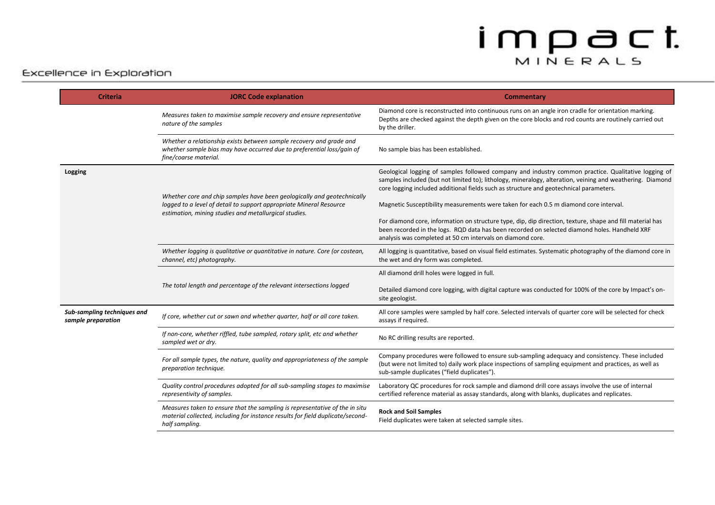| <b>Criteria</b>                                   | <b>JORC Code explanation</b>                                                                                                                                                                            | <b>Commentary</b>                                                                                                                                                                                                                                                                                          |
|---------------------------------------------------|---------------------------------------------------------------------------------------------------------------------------------------------------------------------------------------------------------|------------------------------------------------------------------------------------------------------------------------------------------------------------------------------------------------------------------------------------------------------------------------------------------------------------|
|                                                   | Measures taken to maximise sample recovery and ensure representative<br>nature of the samples                                                                                                           | Diamond core is reconstructed into continuous runs on an angle iron cradle for orientation marking.<br>Depths are checked against the depth given on the core blocks and rod counts are routinely carried out<br>by the driller.                                                                           |
|                                                   | Whether a relationship exists between sample recovery and grade and<br>whether sample bias may have occurred due to preferential loss/gain of<br>fine/coarse material.                                  | No sample bias has been established.                                                                                                                                                                                                                                                                       |
| Logging                                           | Whether core and chip samples have been geologically and geotechnically<br>logged to a level of detail to support appropriate Mineral Resource<br>estimation, mining studies and metallurgical studies. | Geological logging of samples followed company and industry common practice. Qualitative logging of<br>samples included (but not limited to); lithology, mineralogy, alteration, veining and weathering. Diamond<br>core logging included additional fields such as structure and geotechnical parameters. |
|                                                   |                                                                                                                                                                                                         | Magnetic Susceptibility measurements were taken for each 0.5 m diamond core interval.                                                                                                                                                                                                                      |
|                                                   |                                                                                                                                                                                                         | For diamond core, information on structure type, dip, dip direction, texture, shape and fill material has<br>been recorded in the logs. RQD data has been recorded on selected diamond holes. Handheld XRF<br>analysis was completed at 50 cm intervals on diamond core.                                   |
|                                                   | Whether logging is qualitative or quantitative in nature. Core (or costean,<br>channel, etc) photography.                                                                                               | All logging is quantitative, based on visual field estimates. Systematic photography of the diamond core in<br>the wet and dry form was completed.                                                                                                                                                         |
|                                                   | The total length and percentage of the relevant intersections logged                                                                                                                                    | All diamond drill holes were logged in full.                                                                                                                                                                                                                                                               |
|                                                   |                                                                                                                                                                                                         | Detailed diamond core logging, with digital capture was conducted for 100% of the core by Impact's on-<br>site geologist.                                                                                                                                                                                  |
| Sub-sampling techniques and<br>sample preparation | If core, whether cut or sawn and whether quarter, half or all core taken.                                                                                                                               | All core samples were sampled by half core. Selected intervals of quarter core will be selected for check<br>assays if required.                                                                                                                                                                           |
|                                                   | If non-core, whether riffled, tube sampled, rotary split, etc and whether<br>sampled wet or dry.                                                                                                        | No RC drilling results are reported.                                                                                                                                                                                                                                                                       |
|                                                   | For all sample types, the nature, quality and appropriateness of the sample<br>preparation technique.                                                                                                   | Company procedures were followed to ensure sub-sampling adequacy and consistency. These included<br>(but were not limited to) daily work place inspections of sampling equipment and practices, as well as<br>sub-sample duplicates ("field duplicates").                                                  |
|                                                   | Quality control procedures adopted for all sub-sampling stages to maximise<br>representivity of samples.                                                                                                | Laboratory QC procedures for rock sample and diamond drill core assays involve the use of internal<br>certified reference material as assay standards, along with blanks, duplicates and replicates.                                                                                                       |
|                                                   | Measures taken to ensure that the sampling is representative of the in situ<br>material collected, including for instance results for field duplicate/second-<br>half sampling.                         | <b>Rock and Soil Samples</b><br>Field duplicates were taken at selected sample sites.                                                                                                                                                                                                                      |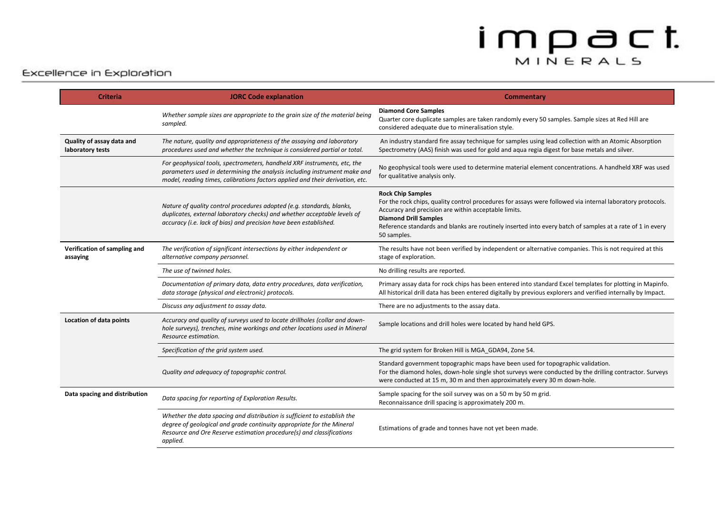| <b>Criteria</b>                               | <b>JORC Code explanation</b>                                                                                                                                                                                                           | Commentary                                                                                                                                                                                                                                                                                                                                                 |
|-----------------------------------------------|----------------------------------------------------------------------------------------------------------------------------------------------------------------------------------------------------------------------------------------|------------------------------------------------------------------------------------------------------------------------------------------------------------------------------------------------------------------------------------------------------------------------------------------------------------------------------------------------------------|
|                                               | Whether sample sizes are appropriate to the grain size of the material being<br>sampled.                                                                                                                                               | <b>Diamond Core Samples</b><br>Quarter core duplicate samples are taken randomly every 50 samples. Sample sizes at Red Hill are<br>considered adequate due to mineralisation style.                                                                                                                                                                        |
| Quality of assay data and<br>laboratory tests | The nature, quality and appropriateness of the assaying and laboratory<br>procedures used and whether the technique is considered partial or total.                                                                                    | An industry standard fire assay technique for samples using lead collection with an Atomic Absorption<br>Spectrometry (AAS) finish was used for gold and aqua regia digest for base metals and silver.                                                                                                                                                     |
|                                               | For geophysical tools, spectrometers, handheld XRF instruments, etc, the<br>parameters used in determining the analysis including instrument make and<br>model, reading times, calibrations factors applied and their derivation, etc. | No geophysical tools were used to determine material element concentrations. A handheld XRF was used<br>for qualitative analysis only.                                                                                                                                                                                                                     |
|                                               | Nature of quality control procedures adopted (e.g. standards, blanks,<br>duplicates, external laboratory checks) and whether acceptable levels of<br>accuracy (i.e. lack of bias) and precision have been established.                 | <b>Rock Chip Samples</b><br>For the rock chips, quality control procedures for assays were followed via internal laboratory protocols.<br>Accuracy and precision are within acceptable limits.<br><b>Diamond Drill Samples</b><br>Reference standards and blanks are routinely inserted into every batch of samples at a rate of 1 in every<br>50 samples. |
| Verification of sampling and<br>assaying      | The verification of significant intersections by either independent or<br>alternative company personnel.                                                                                                                               | The results have not been verified by independent or alternative companies. This is not required at this<br>stage of exploration.                                                                                                                                                                                                                          |
|                                               | The use of twinned holes.                                                                                                                                                                                                              | No drilling results are reported.                                                                                                                                                                                                                                                                                                                          |
|                                               | Documentation of primary data, data entry procedures, data verification,<br>data storage (physical and electronic) protocols.                                                                                                          | Primary assay data for rock chips has been entered into standard Excel templates for plotting in Mapinfo.<br>All historical drill data has been entered digitally by previous explorers and verified internally by Impact.                                                                                                                                 |
|                                               | Discuss any adjustment to assay data.                                                                                                                                                                                                  | There are no adjustments to the assay data.                                                                                                                                                                                                                                                                                                                |
| Location of data points                       | Accuracy and quality of surveys used to locate drillholes (collar and down-<br>hole surveys), trenches, mine workings and other locations used in Mineral<br>Resource estimation.                                                      | Sample locations and drill holes were located by hand held GPS.                                                                                                                                                                                                                                                                                            |
|                                               | Specification of the grid system used.                                                                                                                                                                                                 | The grid system for Broken Hill is MGA_GDA94, Zone 54.                                                                                                                                                                                                                                                                                                     |
|                                               | Quality and adequacy of topographic control.                                                                                                                                                                                           | Standard government topographic maps have been used for topographic validation.<br>For the diamond holes, down-hole single shot surveys were conducted by the drilling contractor. Surveys<br>were conducted at 15 m, 30 m and then approximately every 30 m down-hole.                                                                                    |
| Data spacing and distribution                 | Data spacing for reporting of Exploration Results.                                                                                                                                                                                     | Sample spacing for the soil survey was on a 50 m by 50 m grid.<br>Reconnaissance drill spacing is approximately 200 m.                                                                                                                                                                                                                                     |
|                                               | Whether the data spacing and distribution is sufficient to establish the<br>degree of geological and grade continuity appropriate for the Mineral<br>Resource and Ore Reserve estimation procedure(s) and classifications<br>applied.  | Estimations of grade and tonnes have not yet been made.                                                                                                                                                                                                                                                                                                    |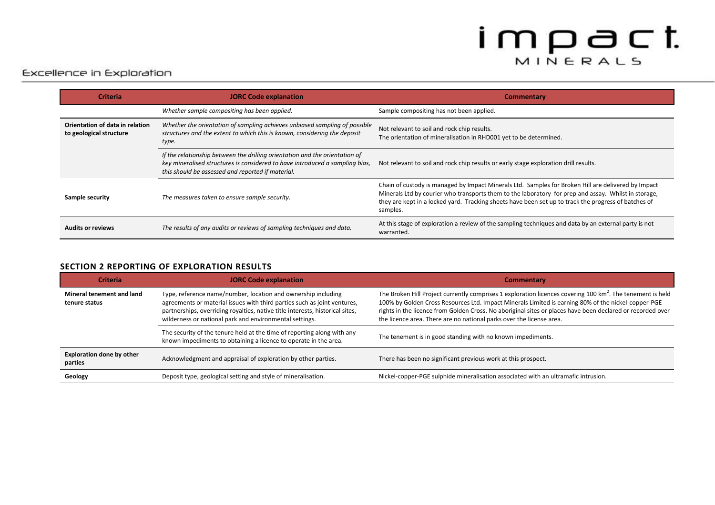### Excellence in Exploration

| <b>Criteria</b>                                            | <b>JORC Code explanation</b>                                                                                                                                                                                     | Commentary                                                                                                                                                                                                                                                                                                                      |
|------------------------------------------------------------|------------------------------------------------------------------------------------------------------------------------------------------------------------------------------------------------------------------|---------------------------------------------------------------------------------------------------------------------------------------------------------------------------------------------------------------------------------------------------------------------------------------------------------------------------------|
|                                                            | Whether sample compositing has been applied.                                                                                                                                                                     | Sample compositing has not been applied.                                                                                                                                                                                                                                                                                        |
| Orientation of data in relation<br>to geological structure | Whether the orientation of sampling achieves unbiased sampling of possible<br>structures and the extent to which this is known, considering the deposit<br>type.                                                 | Not relevant to soil and rock chip results.<br>The orientation of mineralisation in RHD001 yet to be determined.                                                                                                                                                                                                                |
|                                                            | If the relationship between the drilling orientation and the orientation of<br>key mineralised structures is considered to have introduced a sampling bias,<br>this should be assessed and reported if material. | Not relevant to soil and rock chip results or early stage exploration drill results.                                                                                                                                                                                                                                            |
| Sample security                                            | The measures taken to ensure sample security.                                                                                                                                                                    | Chain of custody is managed by Impact Minerals Ltd. Samples for Broken Hill are delivered by Impact<br>Minerals Ltd by courier who transports them to the laboratory for prep and assay. Whilst in storage,<br>they are kept in a locked yard. Tracking sheets have been set up to track the progress of batches of<br>samples. |
| <b>Audits or reviews</b>                                   | The results of any audits or reviews of sampling techniques and data.                                                                                                                                            | At this stage of exploration a review of the sampling techniques and data by an external party is not<br>warranted.                                                                                                                                                                                                             |

#### **SECTION 2 REPORTING OF EXPLORATION RESULTS**

| <b>Criteria</b>                             | <b>JORC Code explanation</b>                                                                                                                                                                                                                                                          | <b>Commentary</b>                                                                                                                                                                                                                                                                                                                                                                                                 |
|---------------------------------------------|---------------------------------------------------------------------------------------------------------------------------------------------------------------------------------------------------------------------------------------------------------------------------------------|-------------------------------------------------------------------------------------------------------------------------------------------------------------------------------------------------------------------------------------------------------------------------------------------------------------------------------------------------------------------------------------------------------------------|
| Mineral tenement and land<br>tenure status  | Type, reference name/number, location and ownership including<br>agreements or material issues with third parties such as joint ventures,<br>partnerships, overriding royalties, native title interests, historical sites,<br>wilderness or national park and environmental settings. | The Broken Hill Project currently comprises 1 exploration licences covering 100 $\text{km}^2$ . The tenement is held<br>100% by Golden Cross Resources Ltd. Impact Minerals Limited is earning 80% of the nickel-copper-PGE<br>rights in the licence from Golden Cross. No aboriginal sites or places have been declared or recorded over<br>the licence area. There are no national parks over the license area. |
|                                             | The security of the tenure held at the time of reporting along with any<br>known impediments to obtaining a licence to operate in the area.                                                                                                                                           | The tenement is in good standing with no known impediments.                                                                                                                                                                                                                                                                                                                                                       |
| <b>Exploration done by other</b><br>parties | Acknowledgment and appraisal of exploration by other parties.                                                                                                                                                                                                                         | There has been no significant previous work at this prospect.                                                                                                                                                                                                                                                                                                                                                     |
| Geology                                     | Deposit type, geological setting and style of mineralisation.                                                                                                                                                                                                                         | Nickel-copper-PGE sulphide mineralisation associated with an ultramafic intrusion.                                                                                                                                                                                                                                                                                                                                |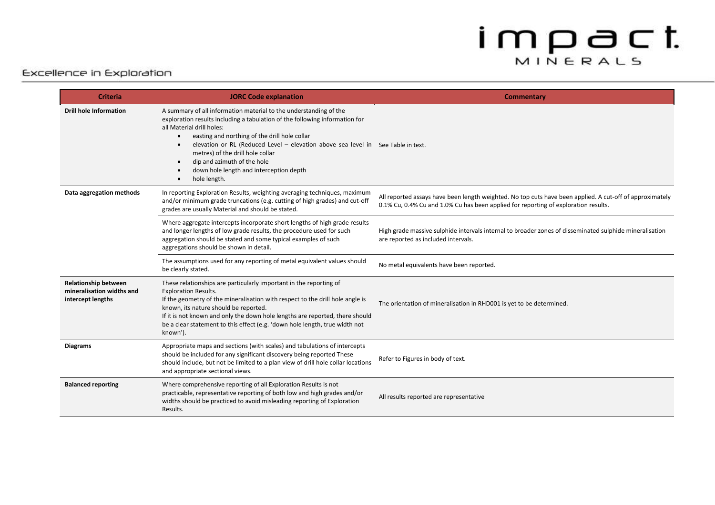| <b>Criteria</b>                                                               | <b>JORC Code explanation</b>                                                                                                                                                                                                                                                                                                                                                                                                                                               | <b>Commentary</b>                                                                                                                                                                               |
|-------------------------------------------------------------------------------|----------------------------------------------------------------------------------------------------------------------------------------------------------------------------------------------------------------------------------------------------------------------------------------------------------------------------------------------------------------------------------------------------------------------------------------------------------------------------|-------------------------------------------------------------------------------------------------------------------------------------------------------------------------------------------------|
| <b>Drill hole Information</b>                                                 | A summary of all information material to the understanding of the<br>exploration results including a tabulation of the following information for<br>all Material drill holes:<br>easting and northing of the drill hole collar<br>$\bullet$<br>elevation or RL (Reduced Level - elevation above sea level in See Table in text.<br>$\bullet$<br>metres) of the drill hole collar<br>dip and azimuth of the hole<br>down hole length and interception depth<br>hole length. |                                                                                                                                                                                                 |
| Data aggregation methods                                                      | In reporting Exploration Results, weighting averaging techniques, maximum<br>and/or minimum grade truncations (e.g. cutting of high grades) and cut-off<br>grades are usually Material and should be stated.                                                                                                                                                                                                                                                               | All reported assays have been length weighted. No top cuts have been applied. A cut-off of approximately<br>0.1% Cu, 0.4% Cu and 1.0% Cu has been applied for reporting of exploration results. |
|                                                                               | Where aggregate intercepts incorporate short lengths of high grade results<br>and longer lengths of low grade results, the procedure used for such<br>aggregation should be stated and some typical examples of such<br>aggregations should be shown in detail.                                                                                                                                                                                                            | High grade massive sulphide intervals internal to broader zones of disseminated sulphide mineralisation<br>are reported as included intervals.                                                  |
|                                                                               | The assumptions used for any reporting of metal equivalent values should<br>be clearly stated.                                                                                                                                                                                                                                                                                                                                                                             | No metal equivalents have been reported.                                                                                                                                                        |
| <b>Relationship between</b><br>mineralisation widths and<br>intercept lengths | These relationships are particularly important in the reporting of<br><b>Exploration Results.</b><br>If the geometry of the mineralisation with respect to the drill hole angle is<br>known, its nature should be reported.<br>If it is not known and only the down hole lengths are reported, there should<br>be a clear statement to this effect (e.g. 'down hole length, true width not<br>known').                                                                     | The orientation of mineralisation in RHD001 is yet to be determined.                                                                                                                            |
| <b>Diagrams</b>                                                               | Appropriate maps and sections (with scales) and tabulations of intercepts<br>should be included for any significant discovery being reported These<br>should include, but not be limited to a plan view of drill hole collar locations<br>and appropriate sectional views.                                                                                                                                                                                                 | Refer to Figures in body of text.                                                                                                                                                               |
| <b>Balanced reporting</b>                                                     | Where comprehensive reporting of all Exploration Results is not<br>practicable, representative reporting of both low and high grades and/or<br>widths should be practiced to avoid misleading reporting of Exploration<br>Results.                                                                                                                                                                                                                                         | All results reported are representative                                                                                                                                                         |